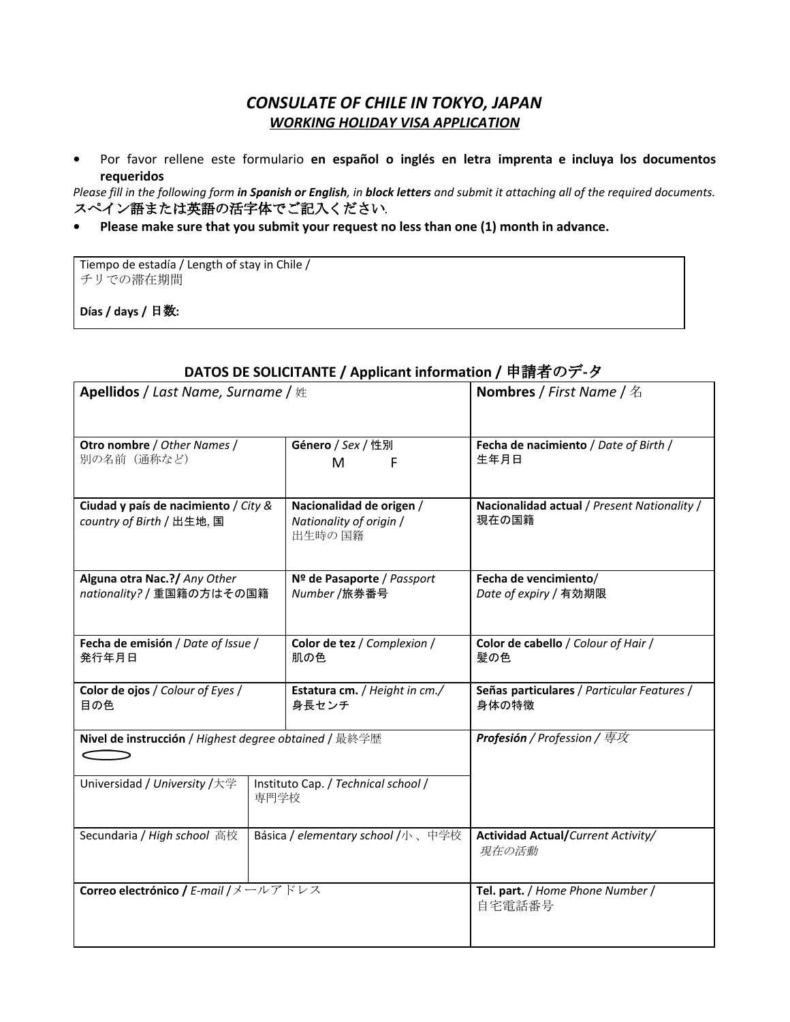## *CONSULATE OF CHILE IN TOKYO, JAPAN WORKING HOLIDAY VISA APPLICATION*

**•** Por favor rellene este formulario **en español o inglés en letra imprenta e incluya los documentos requeridos**

Please fill in the following form in Spanish or English, in block letters and submit it attaching all of the required documents. スペイン語または英語の活字体でご記入ください*.*

#### **• Please make sure that you submit your request no less than one (1) month in advance.**

Tiempo de estadía / Length of stay in Chile / チリでの滞在期間

**Días / days /** 日数**:**

| レATO3 レL 3OLICITANTL / Applicant information / 平明伯 ツノ・プ                     |                                                                |                                                      |  |  |
|-----------------------------------------------------------------------------|----------------------------------------------------------------|------------------------------------------------------|--|--|
| <b>Apellidos / Last Name, Surname /</b> 姓                                   | <b>Nombres / First Name / 名</b>                                |                                                      |  |  |
|                                                                             |                                                                |                                                      |  |  |
| Otro nombre / Other Names /<br>別の名前 (通称など)                                  | Género / Sex / 性別<br>M<br>F                                    | Fecha de nacimiento / Date of Birth /<br>生年月日        |  |  |
| Ciudad y país de nacimiento / City &<br>country of Birth / 出生地, 国           | Nacionalidad de origen /<br>Nationality of origin /<br>出生時の 国籍 | Nacionalidad actual / Present Nationality /<br>現在の国籍 |  |  |
| Alguna otra Nac.?/ Any Other<br>nationality? / 重国籍の方はその国籍                   | Nº de Pasaporte / Passport<br>Number /旅券番号                     | Fecha de vencimiento/<br>Date of expiry / 有効期限       |  |  |
| Fecha de emisión / Date of Issue /<br>発行年月日                                 | Color de tez / Complexion /<br>肌の色                             | Color de cabello / Colour of Hair /<br>髪の色           |  |  |
| Color de ojos / Colour of Eyes /<br>目の色                                     | Estatura cm. / Height in cm./<br>身長センチ                         | Señas particulares / Particular Features /<br>身体の特徴  |  |  |
| Nivel de instrucción / Highest degree obtained / 最終学歴                       | Profesión / Profession / 専攻                                    |                                                      |  |  |
| Universidad / University /大学<br>Instituto Cap. / Technical school /<br>専門学校 |                                                                |                                                      |  |  |
| Secundaria / High school 高校                                                 | Básica / elementary school /小、中学校                              | Actividad Actual/Current Activity/<br>現在の活動          |  |  |
| Correo electrónico / E-mail /メールアドレス                                        |                                                                | Tel. part. / Home Phone Number /<br>自宅電話番号           |  |  |

# **DATOS DE SOLICITANTE / Applicant information /** 申請者のデ**-**タ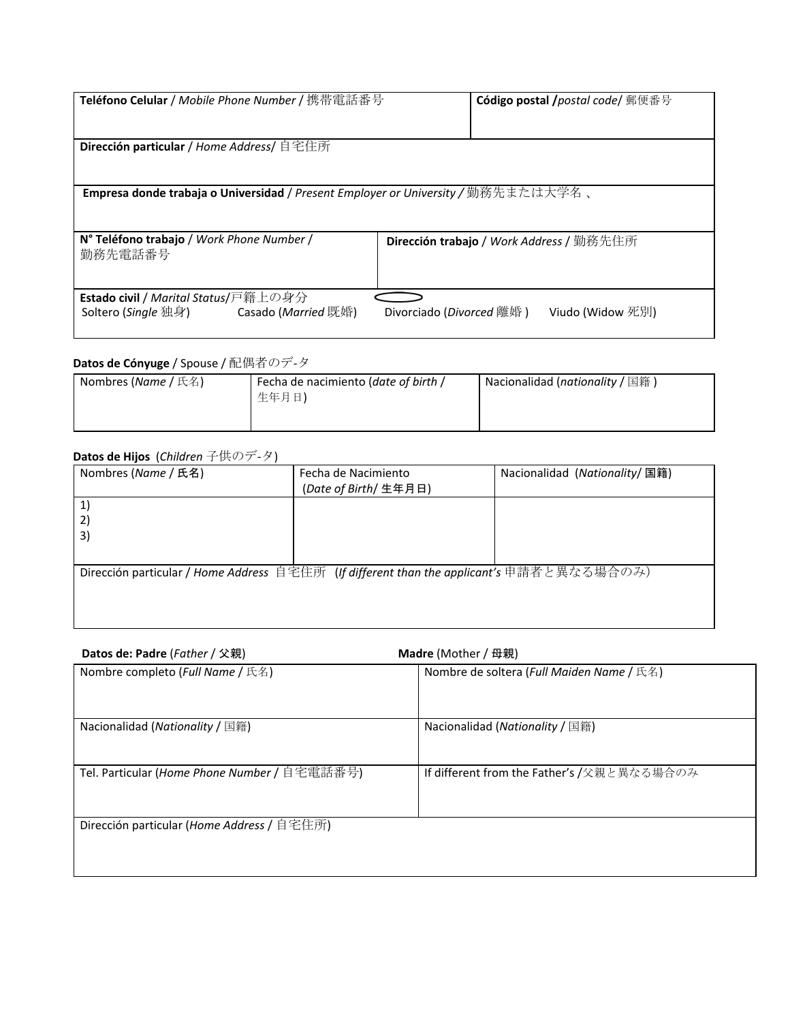| <b>Teléfono Celular</b> / Mobile Phone Number / 携帯電話番号                                 | <b>Código postal /</b> postal code/ 郵便番号              |  |  |  |
|----------------------------------------------------------------------------------------|-------------------------------------------------------|--|--|--|
| Dirección particular / Home Address/ 自宅住所                                              |                                                       |  |  |  |
| Empresa donde trabaja o Universidad / Present Employer or University / 勤務先または大学名、      |                                                       |  |  |  |
| N° Teléfono trabajo / Work Phone Number /<br>勤務先電話番号                                   | <b>Dirección trabajo / Work Address /</b> 勤務先住所       |  |  |  |
| <b>Estado civil / Marital Status/戸籍上の身分</b><br>Soltero (Single 独身) Casado (Married 既婚) | Divorciado ( <i>Divorced</i> 離婚 )<br>Viudo (Widow 死別) |  |  |  |

### **Datos de Cónyuge** / Spouse / 配偶者のデ-タ

| <b>Nombres (<i>Name</i></b> / 氏名) | Fecha de nacimiento (date of birth / | Nacionalidad (nationality / 国籍) |
|-----------------------------------|--------------------------------------|---------------------------------|
|                                   | 生年月日)                                |                                 |
|                                   |                                      |                                 |
|                                   |                                      |                                 |

## **Datos de Hijos** (*Children* 子供のデ-タ)

| Nombres (Name / 氏名)                                                                      | Fecha de Nacimiento   | Nacionalidad (Nationality/ 国籍) |  |  |
|------------------------------------------------------------------------------------------|-----------------------|--------------------------------|--|--|
|                                                                                          | (Date of Birth/ 生年月日) |                                |  |  |
|                                                                                          |                       |                                |  |  |
| 2)                                                                                       |                       |                                |  |  |
| 3)                                                                                       |                       |                                |  |  |
|                                                                                          |                       |                                |  |  |
| Dirección particular / Home Address 自宅住所 (If different than the applicant's 申請者と異なる場合のみ) |                       |                                |  |  |
|                                                                                          |                       |                                |  |  |
|                                                                                          |                       |                                |  |  |
|                                                                                          |                       |                                |  |  |

| Datos de: Padre (Father / 父親)                | <b>Madre</b> (Mother / 母親)                 |
|----------------------------------------------|--------------------------------------------|
| Nombre completo ( <i>Full Name</i> / 氏名)     | Nombre de soltera (Full Maiden Name / 氏名)  |
| Nacionalidad ( <i>Nationality</i> / 国籍)      | Nacionalidad ( <i>Nationality</i> / 国籍)    |
| Tel. Particular (Home Phone Number / 自宅電話番号) | If different from the Father's /父親と異なる場合のみ |
| Dirección particular (Home Address / 自宅住所)   |                                            |